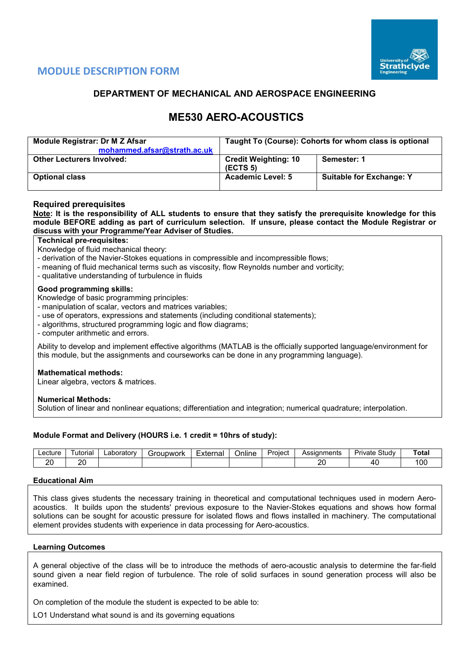

# **MODULE DESCRIPTION FORM**

# **DEPARTMENT OF MECHANICAL AND AEROSPACE ENGINEERING**

# **ME530 AERO-ACOUSTICS**

| Module Registrar: Dr M Z Afsar<br>mohammed.afsar@strath.ac.uk | Taught To (Course): Cohorts for whom class is optional |                                 |  |  |  |  |
|---------------------------------------------------------------|--------------------------------------------------------|---------------------------------|--|--|--|--|
| <b>Other Lecturers Involved:</b>                              | <b>Credit Weighting: 10</b><br>(ECTS <sub>5</sub> )    | Semester: 1                     |  |  |  |  |
| <b>Optional class</b>                                         | <b>Academic Level: 5</b>                               | <b>Suitable for Exchange: Y</b> |  |  |  |  |

## **Required prerequisites**

**Note: It is the responsibility of ALL students to ensure that they satisfy the prerequisite knowledge for this module BEFORE adding as part of curriculum selection. If unsure, please contact the Module Registrar or discuss with your Programme/Year Adviser of Studies.**

## **Technical pre-requisites:**

Knowledge of fluid mechanical theory:

- derivation of the Navier-Stokes equations in compressible and incompressible flows;

- meaning of fluid mechanical terms such as viscosity, flow Reynolds number and vorticity;
- qualitative understanding of turbulence in fluids

### **Good programming skills:**

Knowledge of basic programming principles:

- manipulation of scalar, vectors and matrices variables;

- use of operators, expressions and statements (including conditional statements);
- algorithms, structured programming logic and flow diagrams;
- computer arithmetic and errors.

Ability to develop and implement effective algorithms (MATLAB is the officially supported language/environment for this module, but the assignments and courseworks can be done in any programming language).

#### **Mathematical methods:**

Linear algebra, vectors & matrices.

#### **Numerical Methods:**

Solution of linear and nonlinear equations; differentiation and integration; numerical quadrature; interpolation.

## **Module Format and Delivery (HOURS i.e. 1 credit = 10hrs of study):**

| _ecture   | utorial | _aboratorv | iroupwork<br>וכ | _<br>External | <br><b>Jnline</b> | Proiect | <b>Assignments</b><br>טטר | Study<br>یہ ب<br>'ivate | `otal |
|-----------|---------|------------|-----------------|---------------|-------------------|---------|---------------------------|-------------------------|-------|
| oc<br>. L | oc<br>. |            |                 |               |                   |         | or<br>-                   | 71<br>. .               | 00    |

## **Educational Aim**

This class gives students the necessary training in theoretical and computational techniques used in modern Aeroacoustics. It builds upon the students' previous exposure to the Navier-Stokes equations and shows how formal solutions can be sought for acoustic pressure for isolated flows and flows installed in machinery. The computational element provides students with experience in data processing for Aero-acoustics.

#### **Learning Outcomes**

A general objective of the class will be to introduce the methods of aero-acoustic analysis to determine the far-field sound given a near field region of turbulence. The role of solid surfaces in sound generation process will also be examined.

On completion of the module the student is expected to be able to:

LO1 Understand what sound is and its governing equations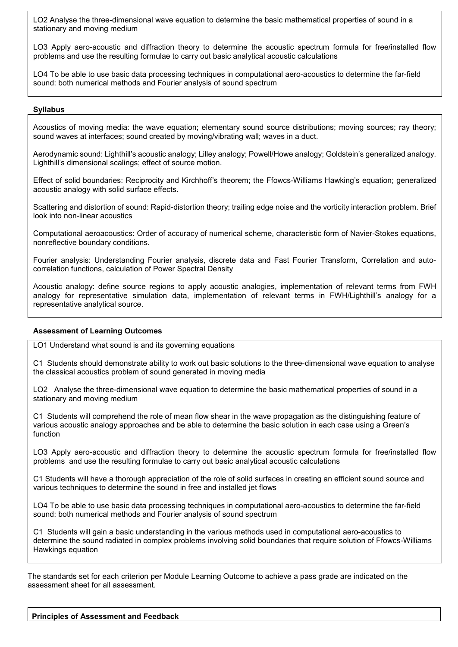LO2 Analyse the three-dimensional wave equation to determine the basic mathematical properties of sound in a stationary and moving medium

LO3 Apply aero-acoustic and diffraction theory to determine the acoustic spectrum formula for free/installed flow problems and use the resulting formulae to carry out basic analytical acoustic calculations

LO4 To be able to use basic data processing techniques in computational aero-acoustics to determine the far-field sound: both numerical methods and Fourier analysis of sound spectrum

#### **Syllabus**

Acoustics of moving media: the wave equation; elementary sound source distributions; moving sources; ray theory; sound waves at interfaces; sound created by moving/vibrating wall; waves in a duct.

Aerodynamic sound: Lighthill's acoustic analogy; Lilley analogy; Powell/Howe analogy; Goldstein's generalized analogy. Lighthill's dimensional scalings; effect of source motion.

Effect of solid boundaries: Reciprocity and Kirchhoff's theorem; the Ffowcs-Williams Hawking's equation; generalized acoustic analogy with solid surface effects.

Scattering and distortion of sound: Rapid-distortion theory; trailing edge noise and the vorticity interaction problem. Brief look into non-linear acoustics

Computational aeroacoustics: Order of accuracy of numerical scheme, characteristic form of Navier-Stokes equations, nonreflective boundary conditions.

Fourier analysis: Understanding Fourier analysis, discrete data and Fast Fourier Transform, Correlation and autocorrelation functions, calculation of Power Spectral Density

Acoustic analogy: define source regions to apply acoustic analogies, implementation of relevant terms from FWH analogy for representative simulation data, implementation of relevant terms in FWH/Lighthill's analogy for a representative analytical source.

#### **Assessment of Learning Outcomes**

LO1 Understand what sound is and its governing equations

C1 Students should demonstrate ability to work out basic solutions to the three-dimensional wave equation to analyse the classical acoustics problem of sound generated in moving media

LO2 Analyse the three-dimensional wave equation to determine the basic mathematical properties of sound in a stationary and moving medium

C1 Students will comprehend the role of mean flow shear in the wave propagation as the distinguishing feature of various acoustic analogy approaches and be able to determine the basic solution in each case using a Green's function

LO3 Apply aero-acoustic and diffraction theory to determine the acoustic spectrum formula for free/installed flow problems and use the resulting formulae to carry out basic analytical acoustic calculations

C1 Students will have a thorough appreciation of the role of solid surfaces in creating an efficient sound source and various techniques to determine the sound in free and installed jet flows

LO4 To be able to use basic data processing techniques in computational aero-acoustics to determine the far-field sound: both numerical methods and Fourier analysis of sound spectrum

C1 Students will gain a basic understanding in the various methods used in computational aero-acoustics to determine the sound radiated in complex problems involving solid boundaries that require solution of Ffowcs-Williams Hawkings equation

The standards set for each criterion per Module Learning Outcome to achieve a pass grade are indicated on the assessment sheet for all assessment.

#### **Principles of Assessment and Feedback**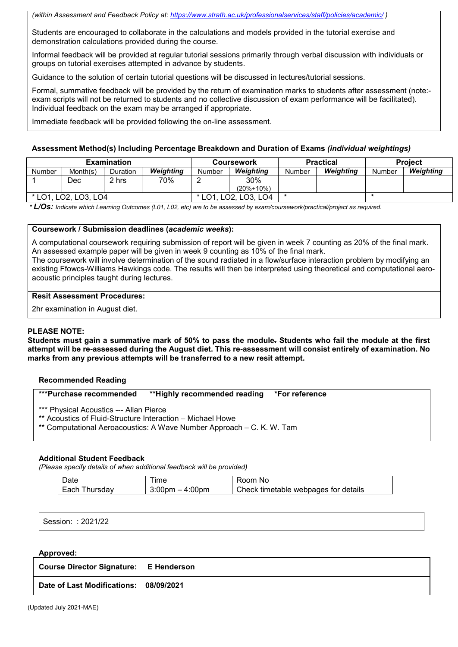*(within Assessment and Feedback Policy at[: https://www.strath.ac.uk/professionalservices/staff/policies/academic/](https://www.strath.ac.uk/professionalservices/staff/policies/academic/) )*

Students are encouraged to collaborate in the calculations and models provided in the tutorial exercise and demonstration calculations provided during the course.

Informal feedback will be provided at regular tutorial sessions primarily through verbal discussion with individuals or groups on tutorial exercises attempted in advance by students.

Guidance to the solution of certain tutorial questions will be discussed in lectures/tutorial sessions.

Formal, summative feedback will be provided by the return of examination marks to students after assessment (note: exam scripts will not be returned to students and no collective discussion of exam performance will be facilitated). Individual feedback on the exam may be arranged if appropriate.

Immediate feedback will be provided following the on-line assessment.

#### **Assessment Method(s) Including Percentage Breakdown and Duration of Exams** *(individual weightings)*

|                |               | <b>Examination</b> |           |        | Coursework      |        | <b>Practical</b> | <b>Project</b> |           |  |
|----------------|---------------|--------------------|-----------|--------|-----------------|--------|------------------|----------------|-----------|--|
| <b>Number</b>  | Month(s)      | Duration           | Weiahtina | Number | Weiahtina       | Number | Weiahtina        | Number         | Weighting |  |
|                | Dec           | 2 hrs              | 70%       |        | 30%             |        |                  |                |           |  |
|                |               |                    |           |        | $(20\% + 10\%)$ |        |                  |                |           |  |
| $*$ I $\cap$ 1 | LO2. LO3. LO4 |                    |           |        | LO3. LO4        |        |                  |                |           |  |

*\* L/Os: Indicate which Learning Outcomes (L01, L02, etc) are to be assessed by exam/coursework/practical/project as required.*

#### **Coursework / Submission deadlines (***academic weeks***):**

A computational coursework requiring submission of report will be given in week 7 counting as 20% of the final mark. An assessed example paper will be given in week 9 counting as 10% of the final mark.

The coursework will involve determination of the sound radiated in a flow/surface interaction problem by modifying an existing Ffowcs-Williams Hawkings code. The results will then be interpreted using theoretical and computational aeroacoustic principles taught during lectures.

#### **Resit Assessment Procedures:**

2hr examination in August diet.

#### **PLEASE NOTE:**

**Students must gain a summative mark of 50% to pass the module. Students who fail the module at the first attempt will be re-assessed during the August diet. This re-assessment will consist entirely of examination. No marks from any previous attempts will be transferred to a new resit attempt.**

#### **Recommended Reading**

| <b>***Purchase recommended</b>                                                                        | **Highly recommended reading *For reference                           |  |
|-------------------------------------------------------------------------------------------------------|-----------------------------------------------------------------------|--|
| *** Physical Acoustics --- Allan Pierce<br>** Acoustics of Fluid-Structure Interaction – Michael Howe | ** Computational Aeroacoustics: A Wave Number Approach – C. K. W. Tam |  |

#### **Additional Student Feedback**

*(Please specify details of when additional feedback will be provided)*

| Date            | ime                             | Room<br>No.                          |
|-----------------|---------------------------------|--------------------------------------|
| Each<br>hursdav | $-4:00pm$<br>3:00 <sub>pm</sub> | Check timetable webpages for details |

Session: : 2021/22

#### **Approved:**

| <b>Course Director Signature: E Henderson</b> |  |
|-----------------------------------------------|--|
| Date of Last Modifications: 08/09/2021        |  |